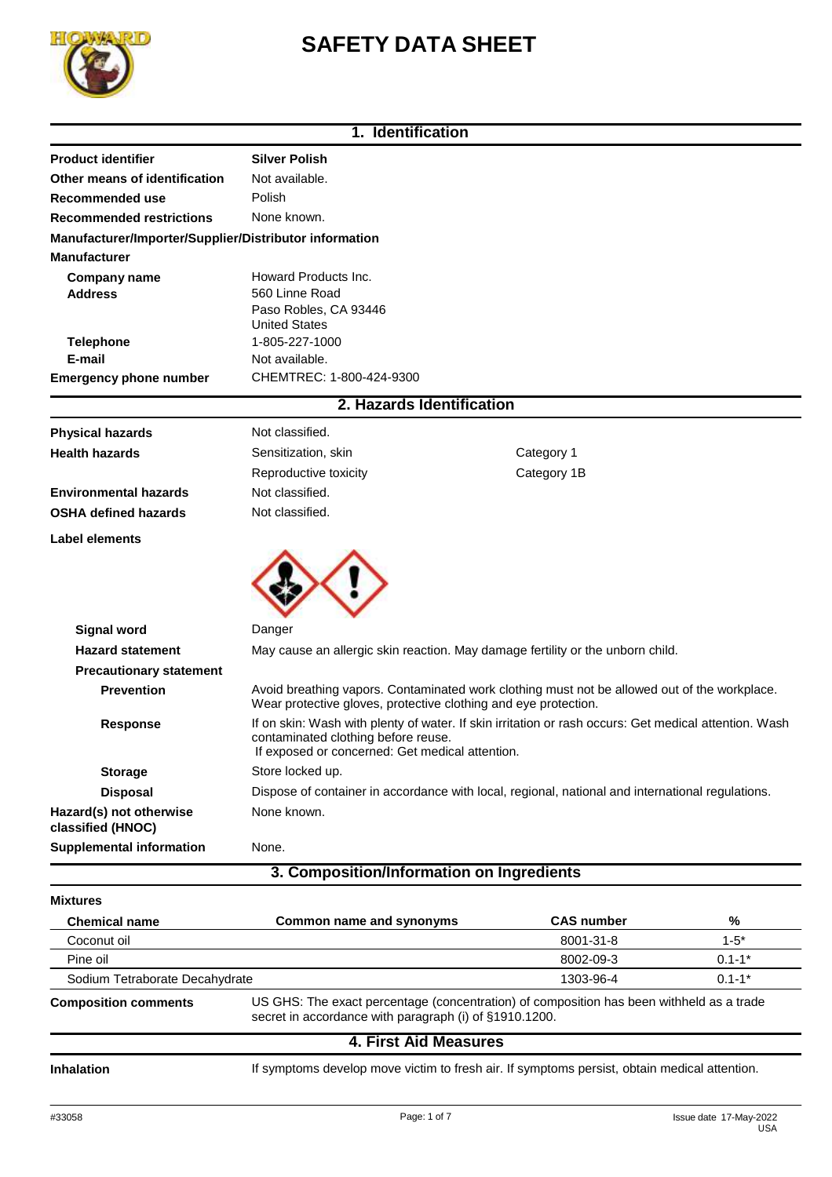

# **SAFETY DATA SHEET**

|                                                        | 1. Identification                                                                                                                                                                               |                   |          |
|--------------------------------------------------------|-------------------------------------------------------------------------------------------------------------------------------------------------------------------------------------------------|-------------------|----------|
| <b>Product identifier</b>                              | <b>Silver Polish</b>                                                                                                                                                                            |                   |          |
| Other means of identification                          | Not available.                                                                                                                                                                                  |                   |          |
| Recommended use                                        | Polish                                                                                                                                                                                          |                   |          |
| <b>Recommended restrictions</b>                        | None known.                                                                                                                                                                                     |                   |          |
| Manufacturer/Importer/Supplier/Distributor information |                                                                                                                                                                                                 |                   |          |
| <b>Manufacturer</b>                                    |                                                                                                                                                                                                 |                   |          |
| <b>Company name</b>                                    | Howard Products Inc.                                                                                                                                                                            |                   |          |
| <b>Address</b>                                         | 560 Linne Road                                                                                                                                                                                  |                   |          |
|                                                        | Paso Robles, CA 93446                                                                                                                                                                           |                   |          |
| <b>Telephone</b>                                       | <b>United States</b><br>1-805-227-1000                                                                                                                                                          |                   |          |
| E-mail                                                 | Not available.                                                                                                                                                                                  |                   |          |
| <b>Emergency phone number</b>                          | CHEMTREC: 1-800-424-9300                                                                                                                                                                        |                   |          |
|                                                        |                                                                                                                                                                                                 |                   |          |
|                                                        | 2. Hazards Identification                                                                                                                                                                       |                   |          |
| <b>Physical hazards</b>                                | Not classified.                                                                                                                                                                                 |                   |          |
| <b>Health hazards</b>                                  | Sensitization, skin                                                                                                                                                                             | Category 1        |          |
|                                                        | Reproductive toxicity                                                                                                                                                                           | Category 1B       |          |
| <b>Environmental hazards</b>                           | Not classified.                                                                                                                                                                                 |                   |          |
| <b>OSHA defined hazards</b>                            | Not classified.                                                                                                                                                                                 |                   |          |
| Label elements                                         |                                                                                                                                                                                                 |                   |          |
|                                                        |                                                                                                                                                                                                 |                   |          |
| <b>Signal word</b>                                     | Danger                                                                                                                                                                                          |                   |          |
| <b>Hazard statement</b>                                | May cause an allergic skin reaction. May damage fertility or the unborn child.                                                                                                                  |                   |          |
| <b>Precautionary statement</b>                         |                                                                                                                                                                                                 |                   |          |
| <b>Prevention</b>                                      | Avoid breathing vapors. Contaminated work clothing must not be allowed out of the workplace.<br>Wear protective gloves, protective clothing and eye protection.                                 |                   |          |
| <b>Response</b>                                        | If on skin: Wash with plenty of water. If skin irritation or rash occurs: Get medical attention. Wash<br>contaminated clothing before reuse.<br>If exposed or concerned: Get medical attention. |                   |          |
| <b>Storage</b>                                         | Store locked up.                                                                                                                                                                                |                   |          |
| <b>Disposal</b>                                        | Dispose of container in accordance with local, regional, national and international regulations.                                                                                                |                   |          |
| Hazard(s) not otherwise<br>classified (HNOC)           | None known.                                                                                                                                                                                     |                   |          |
| <b>Supplemental information</b>                        | None.                                                                                                                                                                                           |                   |          |
|                                                        | 3. Composition/Information on Ingredients                                                                                                                                                       |                   |          |
| <b>Mixtures</b>                                        |                                                                                                                                                                                                 |                   |          |
| <b>Chemical name</b>                                   | Common name and synonyms                                                                                                                                                                        | <b>CAS number</b> | %        |
| Coconut oil                                            |                                                                                                                                                                                                 | 8001-31-8         | $1 - 5*$ |

| <b>Chemical name</b>                                                                                                                                                              | Common name and synonyms | <b>CAS number</b> | %          |
|-----------------------------------------------------------------------------------------------------------------------------------------------------------------------------------|--------------------------|-------------------|------------|
| Coconut oil                                                                                                                                                                       |                          | 8001-31-8         | $1 - 5^*$  |
| Pine oil                                                                                                                                                                          |                          | 8002-09-3         | $0.1 - 1*$ |
| Sodium Tetraborate Decahydrate                                                                                                                                                    |                          | 1303-96-4         | $0.1 - 1*$ |
| US GHS: The exact percentage (concentration) of composition has been withheld as a trade<br><b>Composition comments</b><br>secret in accordance with paragraph (i) of §1910.1200. |                          |                   |            |
|                                                                                                                                                                                   | 4. First Aid Measures    |                   |            |

Inhalation **Inhalation** If symptoms develop move victim to fresh air. If symptoms persist, obtain medical attention.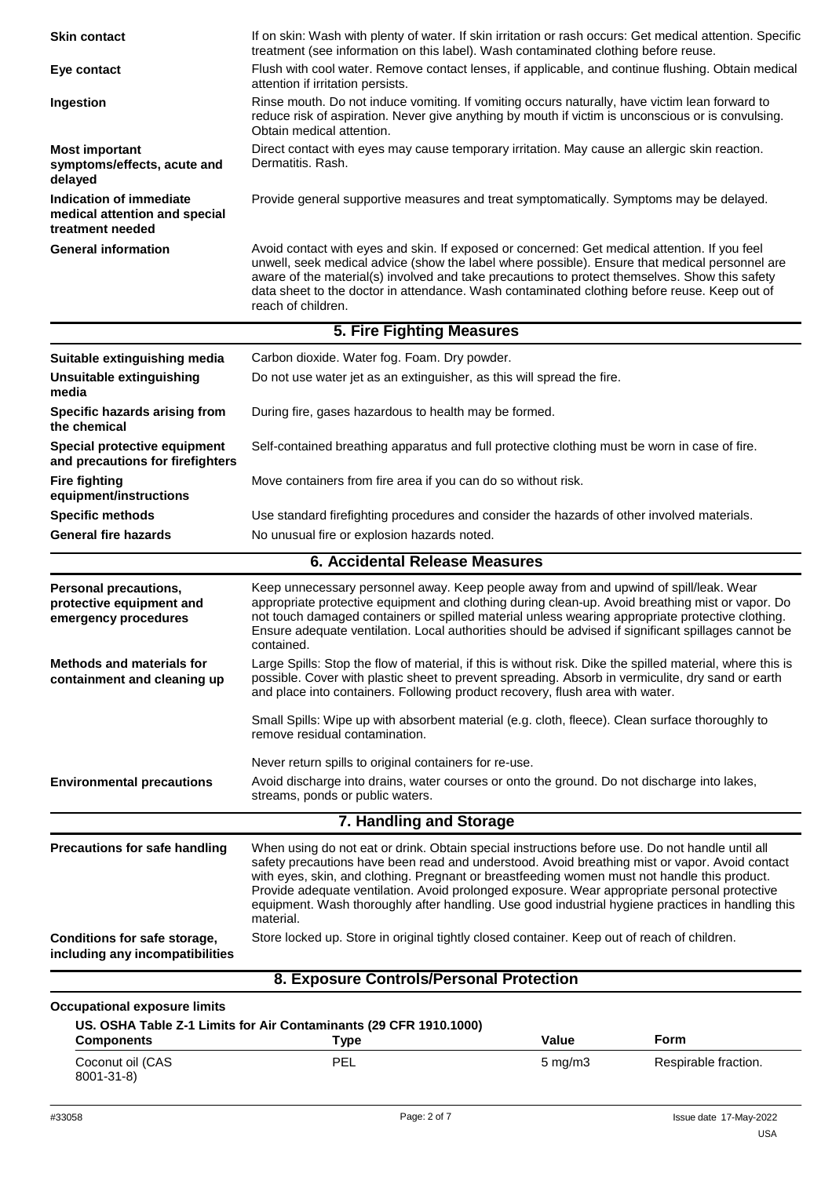| <b>Skin contact</b>                                                              | If on skin: Wash with plenty of water. If skin irritation or rash occurs: Get medical attention. Specific<br>treatment (see information on this label). Wash contaminated clothing before reuse.                                                                                                                                                                                                                                                                                                                    |              |                      |
|----------------------------------------------------------------------------------|---------------------------------------------------------------------------------------------------------------------------------------------------------------------------------------------------------------------------------------------------------------------------------------------------------------------------------------------------------------------------------------------------------------------------------------------------------------------------------------------------------------------|--------------|----------------------|
| Eye contact                                                                      | Flush with cool water. Remove contact lenses, if applicable, and continue flushing. Obtain medical<br>attention if irritation persists.                                                                                                                                                                                                                                                                                                                                                                             |              |                      |
| Ingestion                                                                        | Rinse mouth. Do not induce vomiting. If vomiting occurs naturally, have victim lean forward to<br>reduce risk of aspiration. Never give anything by mouth if victim is unconscious or is convulsing.<br>Obtain medical attention.                                                                                                                                                                                                                                                                                   |              |                      |
| <b>Most important</b><br>symptoms/effects, acute and<br>delayed                  | Direct contact with eyes may cause temporary irritation. May cause an allergic skin reaction.<br>Dermatitis, Rash.                                                                                                                                                                                                                                                                                                                                                                                                  |              |                      |
| Indication of immediate<br>medical attention and special<br>treatment needed     | Provide general supportive measures and treat symptomatically. Symptoms may be delayed.                                                                                                                                                                                                                                                                                                                                                                                                                             |              |                      |
| <b>General information</b>                                                       | Avoid contact with eyes and skin. If exposed or concerned: Get medical attention. If you feel<br>unwell, seek medical advice (show the label where possible). Ensure that medical personnel are<br>aware of the material(s) involved and take precautions to protect themselves. Show this safety<br>data sheet to the doctor in attendance. Wash contaminated clothing before reuse. Keep out of<br>reach of children.                                                                                             |              |                      |
|                                                                                  | <b>5. Fire Fighting Measures</b>                                                                                                                                                                                                                                                                                                                                                                                                                                                                                    |              |                      |
| Suitable extinguishing media                                                     | Carbon dioxide. Water fog. Foam. Dry powder.                                                                                                                                                                                                                                                                                                                                                                                                                                                                        |              |                      |
| <b>Unsuitable extinguishing</b><br>media                                         | Do not use water jet as an extinguisher, as this will spread the fire.                                                                                                                                                                                                                                                                                                                                                                                                                                              |              |                      |
| Specific hazards arising from<br>the chemical                                    | During fire, gases hazardous to health may be formed.                                                                                                                                                                                                                                                                                                                                                                                                                                                               |              |                      |
| Special protective equipment<br>and precautions for firefighters                 | Self-contained breathing apparatus and full protective clothing must be worn in case of fire.                                                                                                                                                                                                                                                                                                                                                                                                                       |              |                      |
| <b>Fire fighting</b><br>equipment/instructions                                   | Move containers from fire area if you can do so without risk.                                                                                                                                                                                                                                                                                                                                                                                                                                                       |              |                      |
| <b>Specific methods</b>                                                          | Use standard firefighting procedures and consider the hazards of other involved materials.                                                                                                                                                                                                                                                                                                                                                                                                                          |              |                      |
| <b>General fire hazards</b>                                                      | No unusual fire or explosion hazards noted.                                                                                                                                                                                                                                                                                                                                                                                                                                                                         |              |                      |
|                                                                                  | <b>6. Accidental Release Measures</b>                                                                                                                                                                                                                                                                                                                                                                                                                                                                               |              |                      |
| <b>Personal precautions,</b><br>protective equipment and<br>emergency procedures | Keep unnecessary personnel away. Keep people away from and upwind of spill/leak. Wear<br>appropriate protective equipment and clothing during clean-up. Avoid breathing mist or vapor. Do<br>not touch damaged containers or spilled material unless wearing appropriate protective clothing.<br>Ensure adequate ventilation. Local authorities should be advised if significant spillages cannot be<br>contained.                                                                                                  |              |                      |
| <b>Methods and materials for</b><br>containment and cleaning up                  | Large Spills: Stop the flow of material, if this is without risk. Dike the spilled material, where this is<br>possible. Cover with plastic sheet to prevent spreading. Absorb in vermiculite, dry sand or earth<br>and place into containers. Following product recovery, flush area with water.                                                                                                                                                                                                                    |              |                      |
|                                                                                  | Small Spills: Wipe up with absorbent material (e.g. cloth, fleece). Clean surface thoroughly to<br>remove residual contamination.                                                                                                                                                                                                                                                                                                                                                                                   |              |                      |
|                                                                                  | Never return spills to original containers for re-use.                                                                                                                                                                                                                                                                                                                                                                                                                                                              |              |                      |
| <b>Environmental precautions</b>                                                 | Avoid discharge into drains, water courses or onto the ground. Do not discharge into lakes,<br>streams, ponds or public waters.                                                                                                                                                                                                                                                                                                                                                                                     |              |                      |
|                                                                                  | 7. Handling and Storage                                                                                                                                                                                                                                                                                                                                                                                                                                                                                             |              |                      |
| <b>Precautions for safe handling</b>                                             | When using do not eat or drink. Obtain special instructions before use. Do not handle until all<br>safety precautions have been read and understood. Avoid breathing mist or vapor. Avoid contact<br>with eyes, skin, and clothing. Pregnant or breastfeeding women must not handle this product.<br>Provide adequate ventilation. Avoid prolonged exposure. Wear appropriate personal protective<br>equipment. Wash thoroughly after handling. Use good industrial hygiene practices in handling this<br>material. |              |                      |
| Conditions for safe storage,<br>including any incompatibilities                  | Store locked up. Store in original tightly closed container. Keep out of reach of children.                                                                                                                                                                                                                                                                                                                                                                                                                         |              |                      |
|                                                                                  | 8. Exposure Controls/Personal Protection                                                                                                                                                                                                                                                                                                                                                                                                                                                                            |              |                      |
| <b>Occupational exposure limits</b>                                              |                                                                                                                                                                                                                                                                                                                                                                                                                                                                                                                     |              |                      |
| <b>Components</b>                                                                | US. OSHA Table Z-1 Limits for Air Contaminants (29 CFR 1910.1000)<br><b>Type</b>                                                                                                                                                                                                                                                                                                                                                                                                                                    | Value        | Form                 |
| Coconut oil (CAS<br>8001-31-8)                                                   | PEL                                                                                                                                                                                                                                                                                                                                                                                                                                                                                                                 | $5$ mg/m $3$ | Respirable fraction. |
|                                                                                  |                                                                                                                                                                                                                                                                                                                                                                                                                                                                                                                     |              |                      |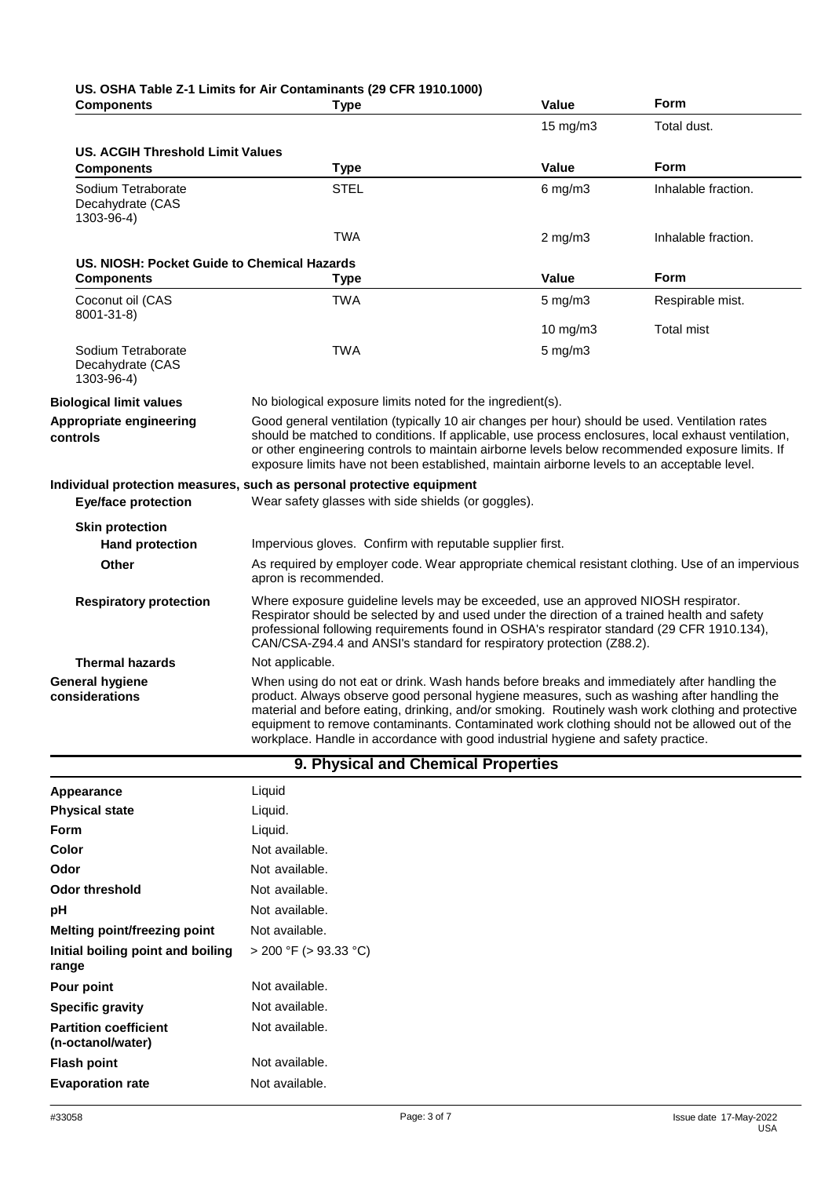| <b>Components</b>                                    | <b>Type</b>                                                                                                                                                                                                                                                                                                                                                                                                                                                                          | Value             | Form                |
|------------------------------------------------------|--------------------------------------------------------------------------------------------------------------------------------------------------------------------------------------------------------------------------------------------------------------------------------------------------------------------------------------------------------------------------------------------------------------------------------------------------------------------------------------|-------------------|---------------------|
|                                                      |                                                                                                                                                                                                                                                                                                                                                                                                                                                                                      | $15 \text{ mg/m}$ | Total dust.         |
| <b>US. ACGIH Threshold Limit Values</b>              |                                                                                                                                                                                                                                                                                                                                                                                                                                                                                      |                   |                     |
| <b>Components</b>                                    | <b>Type</b>                                                                                                                                                                                                                                                                                                                                                                                                                                                                          | Value             | Form                |
| Sodium Tetraborate<br>Decahydrate (CAS<br>1303-96-4) | <b>STEL</b>                                                                                                                                                                                                                                                                                                                                                                                                                                                                          | $6$ mg/m $3$      | Inhalable fraction. |
|                                                      | <b>TWA</b>                                                                                                                                                                                                                                                                                                                                                                                                                                                                           | $2 \text{ mg/m}$  | Inhalable fraction. |
| US. NIOSH: Pocket Guide to Chemical Hazards          |                                                                                                                                                                                                                                                                                                                                                                                                                                                                                      |                   |                     |
| <b>Components</b>                                    | <b>Type</b>                                                                                                                                                                                                                                                                                                                                                                                                                                                                          | Value             | <b>Form</b>         |
| Coconut oil (CAS<br>8001-31-8)                       | <b>TWA</b>                                                                                                                                                                                                                                                                                                                                                                                                                                                                           | $5 \text{ mg/m}$  | Respirable mist.    |
|                                                      |                                                                                                                                                                                                                                                                                                                                                                                                                                                                                      | 10 mg/m3          | <b>Total mist</b>   |
| Sodium Tetraborate<br>Decahydrate (CAS<br>1303-96-4) | <b>TWA</b>                                                                                                                                                                                                                                                                                                                                                                                                                                                                           | $5$ mg/m $3$      |                     |
| <b>Biological limit values</b>                       | No biological exposure limits noted for the ingredient(s).                                                                                                                                                                                                                                                                                                                                                                                                                           |                   |                     |
| Appropriate engineering<br>controls                  | Good general ventilation (typically 10 air changes per hour) should be used. Ventilation rates<br>should be matched to conditions. If applicable, use process enclosures, local exhaust ventilation,<br>or other engineering controls to maintain airborne levels below recommended exposure limits. If<br>exposure limits have not been established, maintain airborne levels to an acceptable level.                                                                               |                   |                     |
|                                                      | Individual protection measures, such as personal protective equipment                                                                                                                                                                                                                                                                                                                                                                                                                |                   |                     |
| <b>Eye/face protection</b>                           | Wear safety glasses with side shields (or goggles).                                                                                                                                                                                                                                                                                                                                                                                                                                  |                   |                     |
| <b>Skin protection</b>                               |                                                                                                                                                                                                                                                                                                                                                                                                                                                                                      |                   |                     |
| <b>Hand protection</b>                               | Impervious gloves. Confirm with reputable supplier first.                                                                                                                                                                                                                                                                                                                                                                                                                            |                   |                     |
| Other                                                | As required by employer code. Wear appropriate chemical resistant clothing. Use of an impervious<br>apron is recommended.                                                                                                                                                                                                                                                                                                                                                            |                   |                     |
| <b>Respiratory protection</b>                        | Where exposure guideline levels may be exceeded, use an approved NIOSH respirator.<br>Respirator should be selected by and used under the direction of a trained health and safety<br>professional following requirements found in OSHA's respirator standard (29 CFR 1910.134),<br>CAN/CSA-Z94.4 and ANSI's standard for respiratory protection (Z88.2).                                                                                                                            |                   |                     |
| <b>Thermal hazards</b>                               | Not applicable.                                                                                                                                                                                                                                                                                                                                                                                                                                                                      |                   |                     |
| <b>General hygiene</b><br>considerations             | When using do not eat or drink. Wash hands before breaks and immediately after handling the<br>product. Always observe good personal hygiene measures, such as washing after handling the<br>material and before eating, drinking, and/or smoking. Routinely wash work clothing and protective<br>equipment to remove contaminants. Contaminated work clothing should not be allowed out of the<br>workplace. Handle in accordance with good industrial hygiene and safety practice. |                   |                     |

| 9. Physical and Chemical Properties               |                            |  |
|---------------------------------------------------|----------------------------|--|
| Appearance                                        | Liquid                     |  |
| <b>Physical state</b>                             | Liquid.                    |  |
| <b>Form</b>                                       | Liquid.                    |  |
| Color                                             | Not available.             |  |
| Odor                                              | Not available.             |  |
| <b>Odor threshold</b>                             | Not available.             |  |
| рH                                                | Not available.             |  |
| <b>Melting point/freezing point</b>               | Not available.             |  |
| Initial boiling point and boiling<br>range        | $>$ 200 °F ( $>$ 93.33 °C) |  |
| Pour point                                        | Not available.             |  |
| <b>Specific gravity</b>                           | Not available.             |  |
| <b>Partition coefficient</b><br>(n-octanol/water) | Not available.             |  |
| <b>Flash point</b>                                | Not available.             |  |
| <b>Evaporation rate</b>                           | Not available.             |  |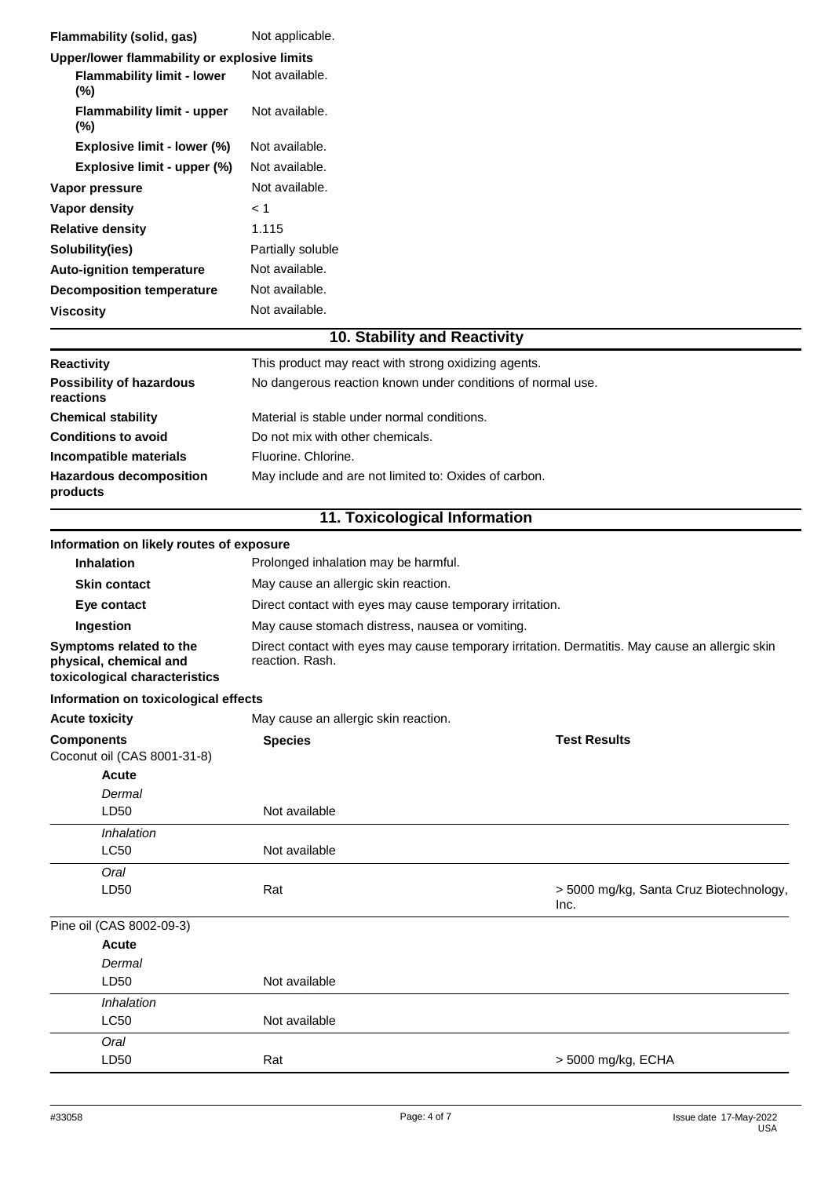| Flammability (solid, gas)                                                          | Not applicable.                                                                                                    |                                                 |
|------------------------------------------------------------------------------------|--------------------------------------------------------------------------------------------------------------------|-------------------------------------------------|
| Upper/lower flammability or explosive limits                                       |                                                                                                                    |                                                 |
| <b>Flammability limit - lower</b><br>(%)                                           | Not available.                                                                                                     |                                                 |
| <b>Flammability limit - upper</b><br>(%)                                           | Not available.                                                                                                     |                                                 |
| Explosive limit - lower (%)                                                        | Not available.                                                                                                     |                                                 |
| Explosive limit - upper (%)                                                        | Not available.                                                                                                     |                                                 |
| Vapor pressure                                                                     | Not available.                                                                                                     |                                                 |
| Vapor density                                                                      | < 1                                                                                                                |                                                 |
| <b>Relative density</b>                                                            | 1.115                                                                                                              |                                                 |
| Solubility(ies)                                                                    | Partially soluble                                                                                                  |                                                 |
| Auto-ignition temperature                                                          | Not available.                                                                                                     |                                                 |
| <b>Decomposition temperature</b>                                                   | Not available.                                                                                                     |                                                 |
| <b>Viscosity</b>                                                                   | Not available.                                                                                                     |                                                 |
|                                                                                    | 10. Stability and Reactivity                                                                                       |                                                 |
| <b>Reactivity</b>                                                                  | This product may react with strong oxidizing agents.                                                               |                                                 |
| <b>Possibility of hazardous</b><br>reactions                                       | No dangerous reaction known under conditions of normal use.                                                        |                                                 |
| <b>Chemical stability</b>                                                          | Material is stable under normal conditions.                                                                        |                                                 |
| <b>Conditions to avoid</b>                                                         | Do not mix with other chemicals.                                                                                   |                                                 |
| Incompatible materials                                                             | Fluorine, Chlorine.                                                                                                |                                                 |
| <b>Hazardous decomposition</b><br>products                                         | May include and are not limited to: Oxides of carbon.                                                              |                                                 |
|                                                                                    | 11. Toxicological Information                                                                                      |                                                 |
| Information on likely routes of exposure                                           |                                                                                                                    |                                                 |
| <b>Inhalation</b>                                                                  | Prolonged inhalation may be harmful.                                                                               |                                                 |
| <b>Skin contact</b>                                                                | May cause an allergic skin reaction.                                                                               |                                                 |
| Eye contact                                                                        | Direct contact with eyes may cause temporary irritation.                                                           |                                                 |
| Ingestion                                                                          | May cause stomach distress, nausea or vomiting.                                                                    |                                                 |
| Symptoms related to the<br>physical, chemical and<br>toxicological characteristics | Direct contact with eyes may cause temporary irritation. Dermatitis. May cause an allergic skin<br>reaction. Rash. |                                                 |
| Information on toxicological effects                                               |                                                                                                                    |                                                 |
| <b>Acute toxicity</b>                                                              | May cause an allergic skin reaction.                                                                               |                                                 |
| <b>Components</b><br>Coconut oil (CAS 8001-31-8)<br>Acute<br>Dermal                | <b>Species</b>                                                                                                     | <b>Test Results</b>                             |
| LD50                                                                               | Not available                                                                                                      |                                                 |
| Inhalation<br><b>LC50</b>                                                          | Not available                                                                                                      |                                                 |
| Oral                                                                               |                                                                                                                    |                                                 |
| LD50                                                                               | Rat                                                                                                                | > 5000 mg/kg, Santa Cruz Biotechnology,<br>Inc. |
| Pine oil (CAS 8002-09-3)                                                           |                                                                                                                    |                                                 |
| Acute                                                                              |                                                                                                                    |                                                 |
| Dermal                                                                             |                                                                                                                    |                                                 |
| LD50                                                                               | Not available                                                                                                      |                                                 |
| Inhalation                                                                         |                                                                                                                    |                                                 |
| LC50                                                                               | Not available                                                                                                      |                                                 |
| Oral                                                                               |                                                                                                                    |                                                 |
| LD50                                                                               | Rat                                                                                                                | > 5000 mg/kg, ECHA                              |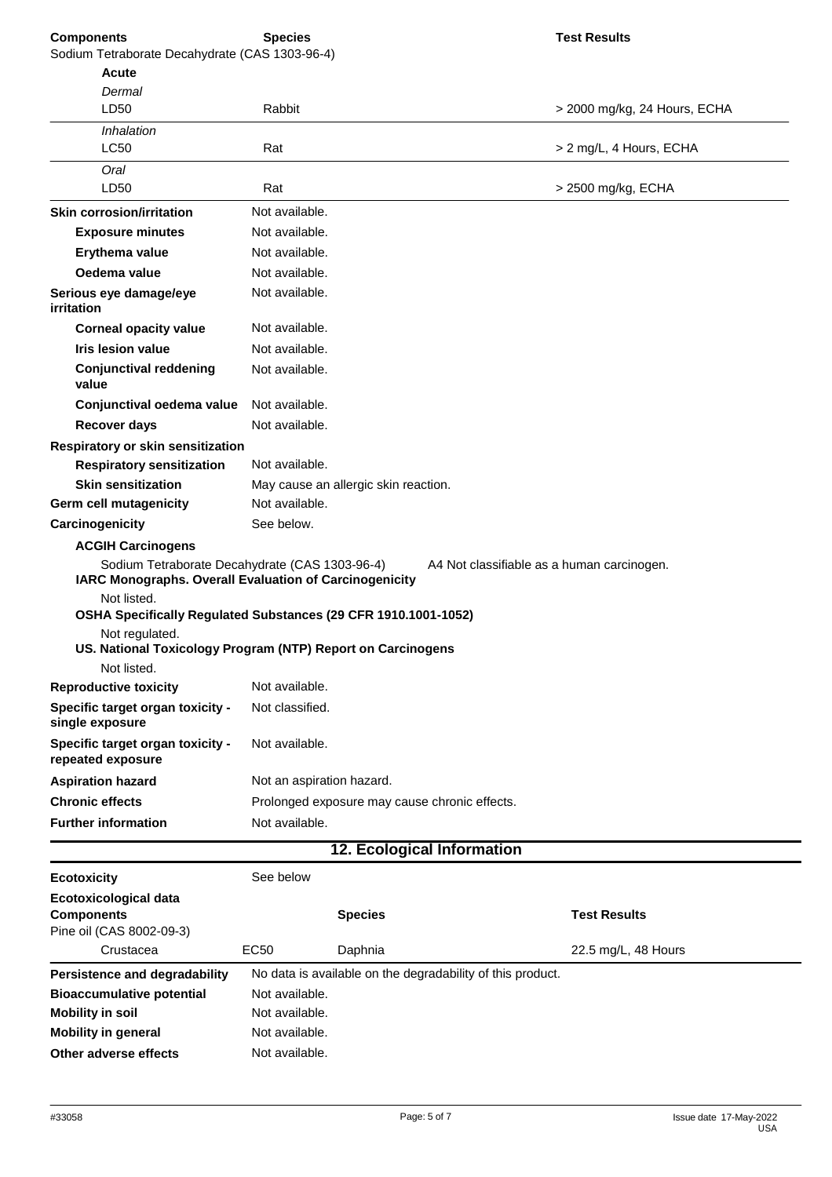| <b>Components</b><br>Sodium Tetraborate Decahydrate (CAS 1303-96-4)                                                                  | <b>Species</b>            |                                                            | <b>Test Results</b>                        |
|--------------------------------------------------------------------------------------------------------------------------------------|---------------------------|------------------------------------------------------------|--------------------------------------------|
| <b>Acute</b>                                                                                                                         |                           |                                                            |                                            |
| Dermal                                                                                                                               |                           |                                                            |                                            |
| LD50                                                                                                                                 | Rabbit                    |                                                            | > 2000 mg/kg, 24 Hours, ECHA               |
| Inhalation                                                                                                                           |                           |                                                            |                                            |
| <b>LC50</b>                                                                                                                          | Rat                       |                                                            | > 2 mg/L, 4 Hours, ECHA                    |
| Oral                                                                                                                                 |                           |                                                            |                                            |
| LD50                                                                                                                                 | Rat                       |                                                            | > 2500 mg/kg, ECHA                         |
| <b>Skin corrosion/irritation</b>                                                                                                     | Not available.            |                                                            |                                            |
| <b>Exposure minutes</b>                                                                                                              | Not available.            |                                                            |                                            |
| Erythema value                                                                                                                       | Not available.            |                                                            |                                            |
| Oedema value                                                                                                                         | Not available.            |                                                            |                                            |
| Serious eye damage/eye<br>irritation                                                                                                 | Not available.            |                                                            |                                            |
| <b>Corneal opacity value</b>                                                                                                         | Not available.            |                                                            |                                            |
| <b>Iris lesion value</b>                                                                                                             | Not available.            |                                                            |                                            |
| <b>Conjunctival reddening</b><br>value                                                                                               | Not available.            |                                                            |                                            |
| Conjunctival oedema value                                                                                                            | Not available.            |                                                            |                                            |
| <b>Recover days</b>                                                                                                                  | Not available.            |                                                            |                                            |
| Respiratory or skin sensitization                                                                                                    |                           |                                                            |                                            |
| <b>Respiratory sensitization</b>                                                                                                     | Not available.            |                                                            |                                            |
| <b>Skin sensitization</b>                                                                                                            |                           | May cause an allergic skin reaction.                       |                                            |
| Germ cell mutagenicity                                                                                                               | Not available.            |                                                            |                                            |
| Carcinogenicity                                                                                                                      | See below.                |                                                            |                                            |
|                                                                                                                                      |                           |                                                            |                                            |
| <b>ACGIH Carcinogens</b><br>Sodium Tetraborate Decahydrate (CAS 1303-96-4)<br>IARC Monographs. Overall Evaluation of Carcinogenicity |                           |                                                            | A4 Not classifiable as a human carcinogen. |
| Not listed.                                                                                                                          |                           |                                                            |                                            |
| OSHA Specifically Regulated Substances (29 CFR 1910.1001-1052)                                                                       |                           |                                                            |                                            |
| Not regulated.<br>US. National Toxicology Program (NTP) Report on Carcinogens                                                        |                           |                                                            |                                            |
| Not listed.                                                                                                                          |                           |                                                            |                                            |
| <b>Reproductive toxicity</b>                                                                                                         | Not available.            |                                                            |                                            |
| Specific target organ toxicity -<br>single exposure                                                                                  | Not classified.           |                                                            |                                            |
| Specific target organ toxicity -<br>repeated exposure                                                                                | Not available.            |                                                            |                                            |
| <b>Aspiration hazard</b>                                                                                                             | Not an aspiration hazard. |                                                            |                                            |
| <b>Chronic effects</b>                                                                                                               |                           | Prolonged exposure may cause chronic effects.              |                                            |
| <b>Further information</b>                                                                                                           | Not available.            |                                                            |                                            |
|                                                                                                                                      |                           | <b>12. Ecological Information</b>                          |                                            |
| <b>Ecotoxicity</b>                                                                                                                   | See below                 |                                                            |                                            |
| Ecotoxicological data                                                                                                                |                           |                                                            |                                            |
| <b>Components</b>                                                                                                                    |                           | <b>Species</b>                                             | <b>Test Results</b>                        |
| Pine oil (CAS 8002-09-3)                                                                                                             |                           |                                                            |                                            |
| Crustacea                                                                                                                            | <b>EC50</b>               | Daphnia                                                    | 22.5 mg/L, 48 Hours                        |
| Persistence and degradability                                                                                                        |                           | No data is available on the degradability of this product. |                                            |
| <b>Bioaccumulative potential</b>                                                                                                     | Not available.            |                                                            |                                            |
| <b>Mobility in soil</b>                                                                                                              | Not available.            |                                                            |                                            |

**Other adverse effects**

**Mobility in general**

Not available. Not available.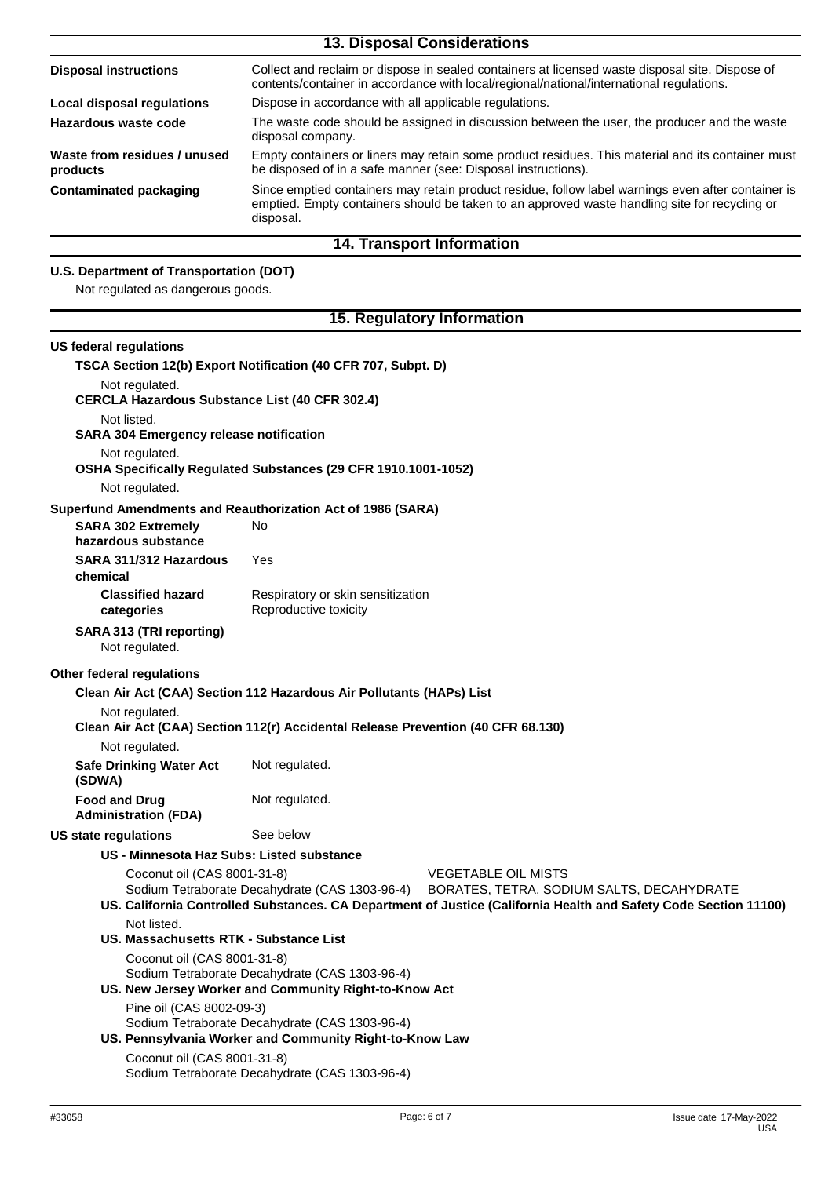| <b>13. Disposal Considerations</b>       |                                                                                                                                                                                                                  |  |
|------------------------------------------|------------------------------------------------------------------------------------------------------------------------------------------------------------------------------------------------------------------|--|
| <b>Disposal instructions</b>             | Collect and reclaim or dispose in sealed containers at licensed waste disposal site. Dispose of<br>contents/container in accordance with local/regional/national/international regulations.                      |  |
| <b>Local disposal regulations</b>        | Dispose in accordance with all applicable regulations.                                                                                                                                                           |  |
| Hazardous waste code                     | The waste code should be assigned in discussion between the user, the producer and the waste<br>disposal company.                                                                                                |  |
| Waste from residues / unused<br>products | Empty containers or liners may retain some product residues. This material and its container must<br>be disposed of in a safe manner (see: Disposal instructions).                                               |  |
| <b>Contaminated packaging</b>            | Since emptied containers may retain product residue, follow label warnings even after container is<br>emptied. Empty containers should be taken to an approved waste handling site for recycling or<br>disposal. |  |
|                                          | <b>14. Transport Information</b>                                                                                                                                                                                 |  |

## **U.S. Department of Transportation (DOT)**

Not regulated as dangerous goods.

## **15. Regulatory Information**

| US federal requlations                                                  |                                                                                                         |                                                                                                                                                                                             |
|-------------------------------------------------------------------------|---------------------------------------------------------------------------------------------------------|---------------------------------------------------------------------------------------------------------------------------------------------------------------------------------------------|
|                                                                         | TSCA Section 12(b) Export Notification (40 CFR 707, Subpt. D)                                           |                                                                                                                                                                                             |
| Not regulated.<br><b>CERCLA Hazardous Substance List (40 CFR 302.4)</b> |                                                                                                         |                                                                                                                                                                                             |
| Not listed.                                                             |                                                                                                         |                                                                                                                                                                                             |
| <b>SARA 304 Emergency release notification</b>                          |                                                                                                         |                                                                                                                                                                                             |
| Not regulated.                                                          | OSHA Specifically Regulated Substances (29 CFR 1910.1001-1052)                                          |                                                                                                                                                                                             |
| Not regulated.                                                          |                                                                                                         |                                                                                                                                                                                             |
| Superfund Amendments and Reauthorization Act of 1986 (SARA)             |                                                                                                         |                                                                                                                                                                                             |
| <b>SARA 302 Extremely</b><br>hazardous substance                        | No.                                                                                                     |                                                                                                                                                                                             |
| SARA 311/312 Hazardous<br>chemical                                      | Yes                                                                                                     |                                                                                                                                                                                             |
| <b>Classified hazard</b><br>categories                                  | Respiratory or skin sensitization<br>Reproductive toxicity                                              |                                                                                                                                                                                             |
| SARA 313 (TRI reporting)<br>Not regulated.                              |                                                                                                         |                                                                                                                                                                                             |
| <b>Other federal regulations</b>                                        |                                                                                                         |                                                                                                                                                                                             |
|                                                                         | Clean Air Act (CAA) Section 112 Hazardous Air Pollutants (HAPs) List                                    |                                                                                                                                                                                             |
| Not regulated.                                                          |                                                                                                         |                                                                                                                                                                                             |
|                                                                         | Clean Air Act (CAA) Section 112(r) Accidental Release Prevention (40 CFR 68.130)                        |                                                                                                                                                                                             |
| Not regulated.                                                          |                                                                                                         |                                                                                                                                                                                             |
| <b>Safe Drinking Water Act</b><br>(SDWA)                                | Not regulated.                                                                                          |                                                                                                                                                                                             |
| <b>Food and Drug</b><br><b>Administration (FDA)</b>                     | Not regulated.                                                                                          |                                                                                                                                                                                             |
| US state regulations                                                    | See below                                                                                               |                                                                                                                                                                                             |
| US - Minnesota Haz Subs: Listed substance                               |                                                                                                         |                                                                                                                                                                                             |
| Coconut oil (CAS 8001-31-8)                                             | Sodium Tetraborate Decahydrate (CAS 1303-96-4)                                                          | <b>VEGETABLE OIL MISTS</b><br>BORATES, TETRA, SODIUM SALTS, DECAHYDRATE<br>US. California Controlled Substances. CA Department of Justice (California Health and Safety Code Section 11100) |
| Not listed.                                                             |                                                                                                         |                                                                                                                                                                                             |
| US. Massachusetts RTK - Substance List                                  |                                                                                                         |                                                                                                                                                                                             |
| Coconut oil (CAS 8001-31-8)                                             |                                                                                                         |                                                                                                                                                                                             |
|                                                                         | Sodium Tetraborate Decahydrate (CAS 1303-96-4)<br>US. New Jersey Worker and Community Right-to-Know Act |                                                                                                                                                                                             |
| Pine oil (CAS 8002-09-3)                                                | Sodium Tetraborate Decahydrate (CAS 1303-96-4)                                                          |                                                                                                                                                                                             |
|                                                                         | US. Pennsylvania Worker and Community Right-to-Know Law                                                 |                                                                                                                                                                                             |

Coconut oil (CAS 8001-31-8) Sodium Tetraborate Decahydrate (CAS 1303-96-4)